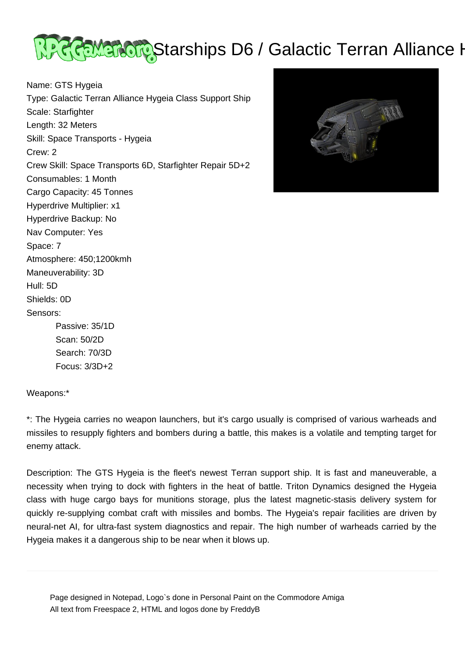

Name: GTS Hygeia Type: Galactic Terran Alliance Hygeia Class Support Ship Scale: Starfighter Length: 32 Meters Skill: Space Transports - Hygeia Crew: 2 Crew Skill: Space Transports 6D, Starfighter Repair 5D+2 Consumables: 1 Month Cargo Capacity: 45 Tonnes Hyperdrive Multiplier: x1 Hyperdrive Backup: No Nav Computer: Yes Space: 7 Atmosphere: 450;1200kmh Maneuverability: 3D Hull: 5D Shields: 0D Sensors: Passive: 35/1D Scan: 50/2D Search: 70/3D



Weapons:\*

Focus: 3/3D+2

\*: The Hygeia carries no weapon launchers, but it's cargo usually is comprised of various warheads and missiles to resupply fighters and bombers during a battle, this makes is a volatile and tempting target for enemy attack.

Description: The GTS Hygeia is the fleet's newest Terran support ship. It is fast and maneuverable, a necessity when trying to dock with fighters in the heat of battle. Triton Dynamics designed the Hygeia class with huge cargo bays for munitions storage, plus the latest magnetic-stasis delivery system for quickly re-supplying combat craft with missiles and bombs. The Hygeia's repair facilities are driven by neural-net AI, for ultra-fast system diagnostics and repair. The high number of warheads carried by the Hygeia makes it a dangerous ship to be near when it blows up.